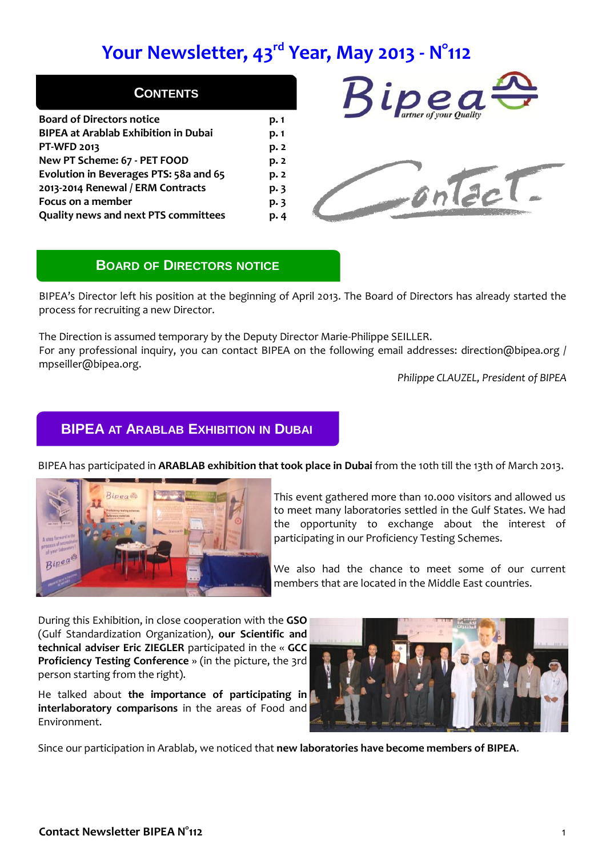# **Your Newsletter, 43rd Year, May 2013 - N°112**

| <b>CONTENT</b><br>S |  |  |  |
|---------------------|--|--|--|
|                     |  |  |  |
|                     |  |  |  |

| p. 1 |
|------|
| p.1  |
| p. 2 |
| p.2  |
| p. 2 |
| p.3  |
| p.3  |
| p.4  |
|      |





### **BOARD OF DIRECTORS NOTICE**

BIPEA's Director left his position at the beginning of April 2013. The Board of Directors has already started the process for recruiting a new Director.

The Direction is assumed temporary by the Deputy Director Marie-Philippe SEILLER. For any professional inquiry, you can contact BIPEA on the following email addresses: direction@bipea.org / mpseiller@bipea.org.

*Philippe CLAUZEL, President of BIPEA*

### **BIPEA AT ARABLAB EXHIBITION IN DUBAI**



BIPEA has participated in **ARABLAB exhibition that took place in Dubai** from the 10th till the 13th of March 2013.

This event gathered more than 10.000 visitors and allowed us to meet many laboratories settled in the Gulf States. We had the opportunity to exchange about the interest of participating in our Proficiency Testing Schemes.

We also had the chance to meet some of our current members that are located in the Middle East countries.

During this Exhibition, in close cooperation with the **GSO** (Gulf Standardization Organization), **our Scientific and technical adviser Eric ZIEGLER** participated in the « **GCC Proficiency Testing Conference** » (in the picture, the 3rd person starting from the right).

He talked about **the importance of participating in interlaboratory comparisons** in the areas of Food and Environment.



Since our participation in Arablab, we noticed that **new laboratories have become members of BIPEA**.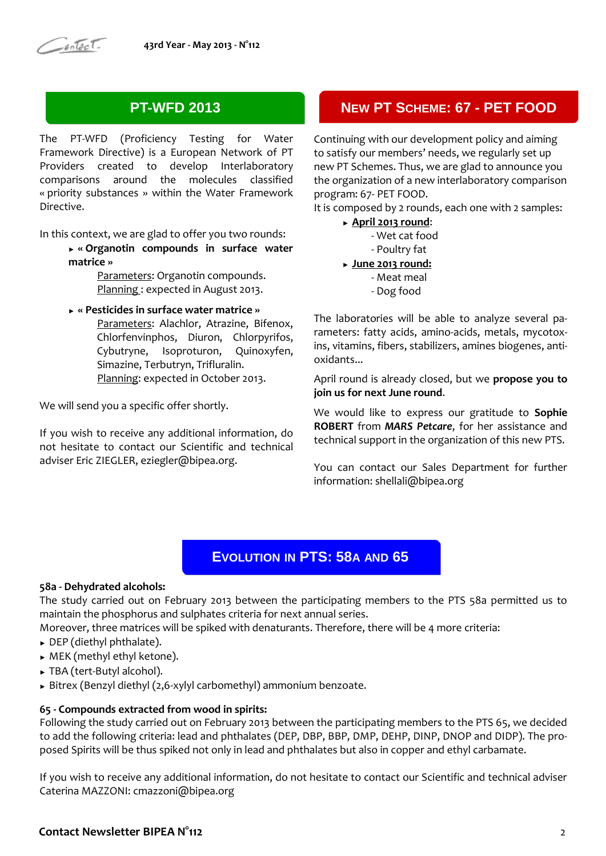### **PT-WFD 2013**

The PT-WFD (Proficiency Testing for Water Framework Directive) is a European Network of PT Providers created to develop Interlaboratory comparisons around the molecules classified « priority substances » within the Water Framework Directive.

In this context, we are glad to offer you two rounds:

► **« Organotin compounds in surface water matrice »** 

> Parameters: Organotin compounds. Planning : expected in August 2013.

► **« Pesticides in surface water matrice »** Parameters: Alachlor, Atrazine, Bifenox, Chlorfenvinphos, Diuron, Chlorpyrifos, Cybutryne, Isoproturon, Quinoxyfen, Simazine, Terbutryn, Trifluralin. Planning: expected in October 2013.

We will send you a specific offer shortly.

If you wish to receive any additional information, do not hesitate to contact our Scientific and technical adviser Eric ZIEGLER, eziegler@bipea.org.

### **NEW PT SCHEME: 67 - PET FOOD**

Continuing with our development policy and aiming to satisfy our members' needs, we regularly set up new PT Schemes. Thus, we are glad to announce you the organization of a new interlaboratory comparison program: 67- PET FOOD.

It is composed by 2 rounds, each one with 2 samples:

- ► **April 2013 round**:
	- Wet cat food
	- Poultry fat
- ► **June 2013 round:**
	- Meat meal
	- Dog food

The laboratories will be able to analyze several parameters: fatty acids, amino-acids, metals, mycotoxins, vitamins, fibers, stabilizers, amines biogenes, antioxidants...

April round is already closed, but we **propose you to join us for next June round**.

We would like to express our gratitude to **Sophie ROBERT** from *MARS Petcare*, for her assistance and technical support in the organization of this new PTS.

You can contact our Sales Department for further information: shellali@bipea.org

### **EVOLUTION IN PTS: 58A AND 65**

#### **58a - Dehydrated alcohols:**

The study carried out on February 2013 between the participating members to the PTS 58a permitted us to maintain the phosphorus and sulphates criteria for next annual series.

Moreover, three matrices will be spiked with denaturants. Therefore, there will be 4 more criteria:

- ► DEP (diethyl phthalate).
- ► MEK (methyl ethyl ketone).
- ► TBA (tert-Butyl alcohol).
- ► Bitrex (Benzyl diethyl (2,6-xylyl carbomethyl) ammonium benzoate.

### **65 - Compounds extracted from wood in spirits:**

Following the study carried out on February 2013 between the participating members to the PTS 65, we decided to add the following criteria: lead and phthalates (DEP, DBP, BBP, DMP, DEHP, DINP, DNOP and DIDP). The proposed Spirits will be thus spiked not only in lead and phthalates but also in copper and ethyl carbamate.

If you wish to receive any additional information, do not hesitate to contact our Scientific and technical adviser Caterina MAZZONI: cmazzoni@bipea.org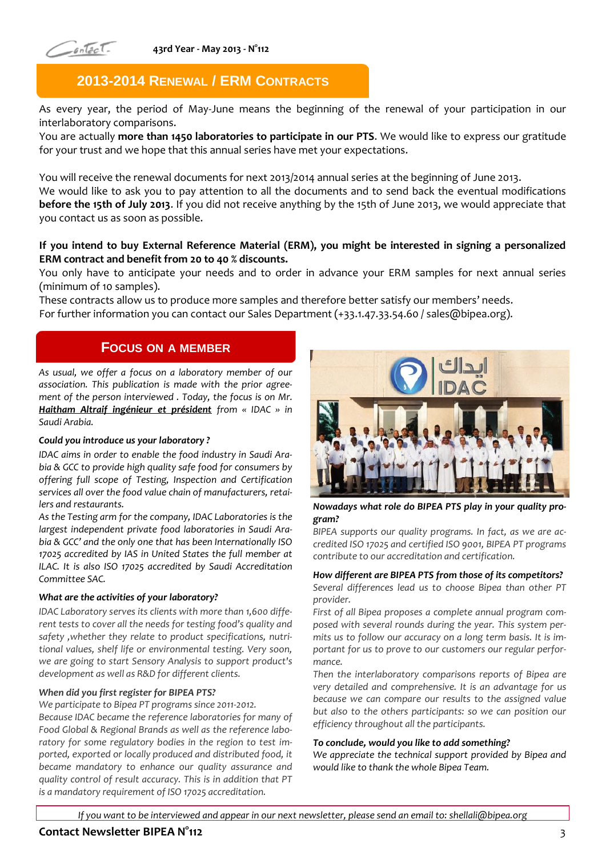

**43rd Year - May 2013 - N°112**

### **2013-2014 RENEWAL / ERM CONTRACTS**

As every year, the period of May-June means the beginning of the renewal of your participation in our interlaboratory comparisons.

You are actually **more than 1450 laboratories to participate in our PTS**. We would like to express our gratitude for your trust and we hope that this annual series have met your expectations.

You will receive the renewal documents for next 2013/2014 annual series at the beginning of June 2013.

We would like to ask you to pay attention to all the documents and to send back the eventual modifications **before the 15th of July 2013**. If you did not receive anything by the 15th of June 2013, we would appreciate that you contact us as soon as possible.

### **If you intend to buy External Reference Material (ERM), you might be interested in signing a personalized ERM contract and benefit from 20 to 40 % discounts.**

You only have to anticipate your needs and to order in advance your ERM samples for next annual series (minimum of 10 samples).

These contracts allow us to produce more samples and therefore better satisfy our members' needs. For further information you can contact our Sales Department (+33.1.47.33.54.60 / sales@bipea.org).

### **FOCUS ON A MEMBER**

*As usual, we offer a focus on a laboratory member of our association. This publication is made with the prior agreement of the person interviewed . Today, the focus is on Mr. Haitham Altraif ingénieur et président from « IDAC » in Saudi Arabia.*

#### *Could you introduce us your laboratory ?*

*IDAC aims in order to enable the food industry in Saudi Arabia & GCC to provide high quality safe food for consumers by offering full scope of Testing, Inspection and Certification services all over the food value chain of manufacturers, retailers and restaurants.*

*As the Testing arm for the company, IDAC Laboratories is the largest independent private food laboratories in Saudi Arabia & GCC' and the only one that has been Internationally ISO 17025 accredited by IAS in United States the full member at ILAC. It is also ISO 17025 accredited by Saudi Accreditation Committee SAC.*

#### *What are the activities of your laboratory?*

*IDAC Laboratory serves its clients with more than 1,600 different tests to cover all the needs for testing food's quality and safety ,whether they relate to product specifications, nutritional values, shelf life or environmental testing. Very soon, we are going to start Sensory Analysis to support product's development as well as R&D for different clients.* 

#### *When did you first register for BIPEA PTS?*

*We participate to Bipea PT programs since 2011-2012. Because IDAC became the reference laboratories for many of Food Global & Regional Brands as well as the reference labo-*

*ratory for some regulatory bodies in the region to test imported, exported or locally produced and distributed food, it became mandatory to enhance our quality assurance and quality control of result accuracy. This is in addition that PT is a mandatory requirement of ISO 17025 accreditation.*



*Nowadays what role do BIPEA PTS play in your quality program?* 

*BIPEA supports our quality programs. In fact, as we are accredited ISO 17025 and certified ISO 9001, BIPEA PT programs contribute to our accreditation and certification.* 

#### *How different are BIPEA PTS from those of its competitors?*

*Several differences lead us to choose Bipea than other PT provider.*

*First of all Bipea proposes a complete annual program composed with several rounds during the year. This system permits us to follow our accuracy on a long term basis. It is important for us to prove to our customers our regular performance.* 

*Then the interlaboratory comparisons reports of Bipea are very detailed and comprehensive. It is an advantage for us because we can compare our results to the assigned value but also to the others participants: so we can position our efficiency throughout all the participants.*

#### *To conclude, would you like to add something?*

*We appreciate the technical support provided by Bipea and would like to thank the whole Bipea Team.* 

#### **Contact Newsletter BIPEA N°112** 3